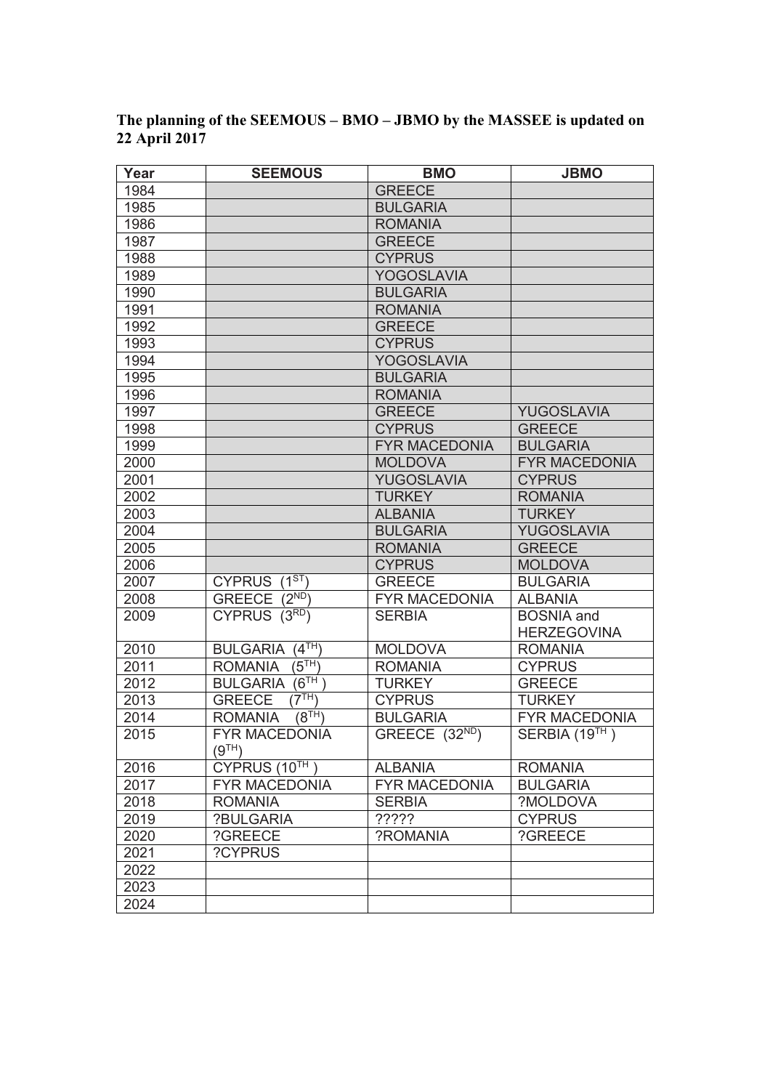| Year | <b>SEEMOUS</b>                              | <b>BMO</b>           | <b>JBMO</b>                             |
|------|---------------------------------------------|----------------------|-----------------------------------------|
| 1984 |                                             | <b>GREECE</b>        |                                         |
| 1985 |                                             | <b>BULGARIA</b>      |                                         |
| 1986 |                                             | <b>ROMANIA</b>       |                                         |
| 1987 |                                             | <b>GREECE</b>        |                                         |
| 1988 |                                             | <b>CYPRUS</b>        |                                         |
| 1989 |                                             | <b>YOGOSLAVIA</b>    |                                         |
| 1990 |                                             | <b>BULGARIA</b>      |                                         |
| 1991 |                                             | <b>ROMANIA</b>       |                                         |
| 1992 |                                             | <b>GREECE</b>        |                                         |
| 1993 |                                             | <b>CYPRUS</b>        |                                         |
| 1994 |                                             | <b>YOGOSLAVIA</b>    |                                         |
| 1995 |                                             | <b>BULGARIA</b>      |                                         |
| 1996 |                                             | <b>ROMANIA</b>       |                                         |
| 1997 |                                             | <b>GREECE</b>        | YUGOSLAVIA                              |
| 1998 |                                             | <b>CYPRUS</b>        | <b>GREECE</b>                           |
| 1999 |                                             | <b>FYR MACEDONIA</b> | <b>BULGARIA</b>                         |
| 2000 |                                             | <b>MOLDOVA</b>       | <b>FYR MACEDONIA</b>                    |
| 2001 |                                             | YUGOSLAVIA           | <b>CYPRUS</b>                           |
| 2002 |                                             | <b>TURKEY</b>        | <b>ROMANIA</b>                          |
| 2003 |                                             | <b>ALBANIA</b>       | <b>TURKEY</b>                           |
| 2004 |                                             | <b>BULGARIA</b>      | YUGOSLAVIA                              |
| 2005 |                                             | <b>ROMANIA</b>       | <b>GREECE</b>                           |
| 2006 |                                             | <b>CYPRUS</b>        | <b>MOLDOVA</b>                          |
| 2007 | CYPRUS $(1^{ST})$                           | <b>GREECE</b>        | <b>BULGARIA</b>                         |
| 2008 | GREECE (2ND)                                | <b>FYR MACEDONIA</b> | <b>ALBANIA</b>                          |
| 2009 | CYPRUS (3RD)                                | <b>SERBIA</b>        | <b>BOSNIA</b> and<br><b>HERZEGOVINA</b> |
| 2010 | (4 <sup>TH</sup> )<br><b>BULGARIA</b>       | <b>MOLDOVA</b>       | <b>ROMANIA</b>                          |
| 2011 | $\overrightarrow{5^{TH}}$<br><b>ROMANIA</b> | <b>ROMANIA</b>       | <b>CYPRUS</b>                           |
| 2012 | (6 <sup>TH</sup> )<br><b>BULGARIA</b>       | <b>TURKEY</b>        | <b>GREECE</b>                           |
| 2013 | $(7^{TH})$<br><b>GREECE</b>                 | <b>CYPRUS</b>        | <b>TURKEY</b>                           |
| 2014 | $\overline{(8^{TH})}$<br><b>ROMANIA</b>     | <b>BULGARIA</b>      | <b>FYR MACEDONIA</b>                    |
| 2015 | <b>FYR MACEDONIA</b>                        | GREECE $(32ND)$      | SERBIA (19TH)                           |
|      | (9 <sup>TH</sup> )                          |                      |                                         |
| 2016 | CYPRUS (10TH                                | <b>ALBANIA</b>       | <b>ROMANIA</b>                          |
| 2017 | <b>FYR MACEDONIA</b>                        | <b>FYR MACEDONIA</b> | <b>BULGARIA</b>                         |
| 2018 | <b>ROMANIA</b>                              | <b>SERBIA</b>        | ?MOLDOVA                                |
| 2019 | ?BULGARIA                                   | ?????                | <b>CYPRUS</b>                           |
| 2020 | ?GREECE                                     | ?ROMANIA             | ?GREECE                                 |
| 2021 | ?CYPRUS                                     |                      |                                         |
| 2022 |                                             |                      |                                         |
| 2023 |                                             |                      |                                         |
| 2024 |                                             |                      |                                         |

## **The planning of the SEEMOUS – BMO – JBMO by the MASSEE is updated on 22 April 2017**